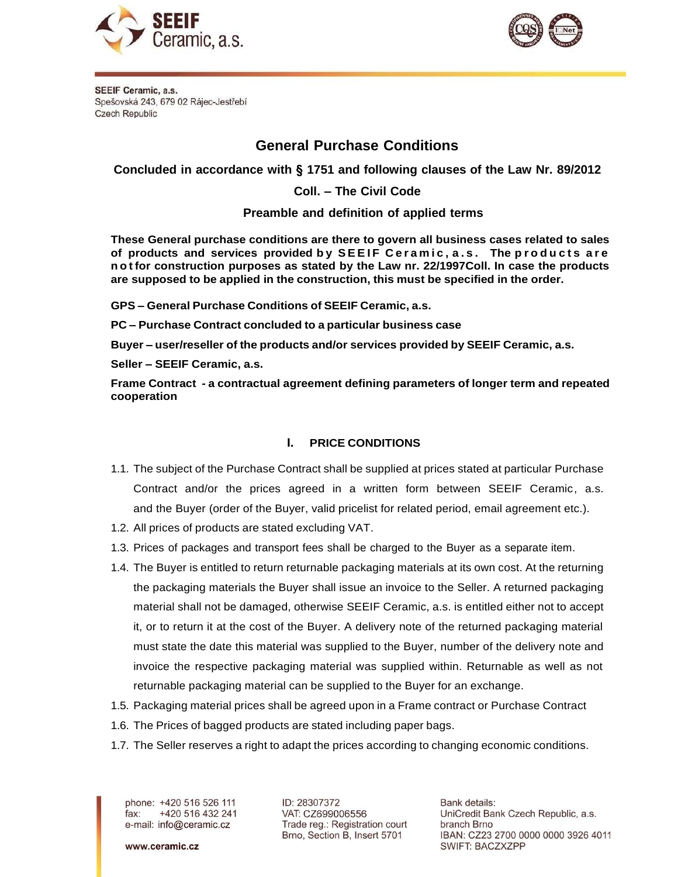



# **General Purchase Conditions**

**Concluded in accordance with § 1751 and following clauses of the Law Nr. 89/2012**

## **Coll. – The Civil Code**

### **Preamble and definition of applied terms**

**These General purchase conditions are there to govern all business cases related to sales of products and services provided b y SEE I F C e r a m i c , a . s . The p r o d u c t s a r e n o t for construction purposes as stated by the Law nr. 22/1997Coll. In case the products are supposed to be applied in the construction, this must be specified in the order.**

**GPS – General Purchase Conditions of SEEIF Ceramic, a.s.**

**PC – Purchase Contract concluded to a particular business case**

**Buyer – user/reseller of the products and/or services provided by SEEIF Ceramic, a.s.**

**Seller – SEEIF Ceramic, a.s.**

**Frame Contract - a contractual agreement defining parameters of longer term and repeated cooperation**

#### **I. PRICE CONDITIONS**

- 1.1. The subject of the Purchase Contract shall be supplied at prices stated at particular Purchase Contract and/or the prices agreed in a written form between SEEIF Ceramic, a.s. and the Buyer (order of the Buyer, valid pricelist for related period, email agreement etc.).
- 1.2. All prices of products are stated excluding VAT.
- 1.3. Prices of packages and transport fees shall be charged to the Buyer as a separate item.
- 1.4. The Buyer is entitled to return returnable packaging materials at its own cost. At the returning the packaging materials the Buyer shall issue an invoice to the Seller. A returned packaging material shall not be damaged, otherwise SEEIF Ceramic, a.s. is entitled either not to accept it, or to return it at the cost of the Buyer. A delivery note of the returned packaging material must state the date this material was supplied to the Buyer, number of the delivery note and invoice the respective packaging material was supplied within. Returnable as well as not returnable packaging material can be supplied to the Buyer for an exchange.
- 1.5. Packaging material prices shall be agreed upon in a Frame contract or Purchase Contract
- 1.6. The Prices of bagged products are stated including paper bags.
- 1.7. The Seller reserves a right to adapt the prices according to changing economic conditions.

phone: +420 516 526 111 +420 516 432 241  $fax$ : e-mail: info@ceramic.cz

ID: 28307372 VAT: CZ699006556 Trade reg.: Registration court Brno, Section B, Insert 5701

Bank details: UniCredit Bank Czech Republic, a.s. branch Brno IBAN: CZ23 2700 0000 0000 3926 4011 **SWIFT: BACZXZPP**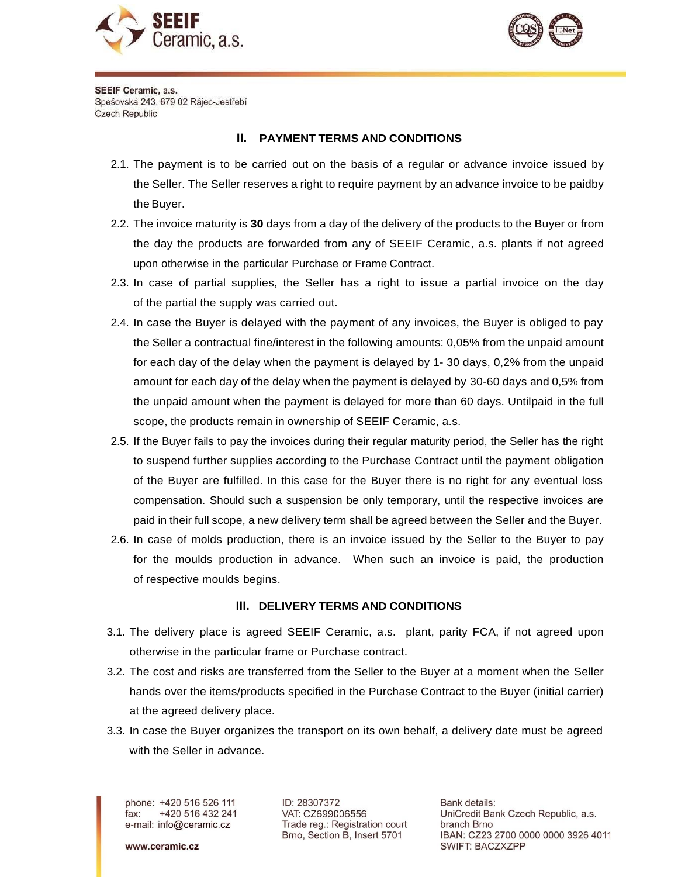



#### **II. PAYMENT TERMS AND CONDITIONS**

- 2.1. The payment is to be carried out on the basis of a regular or advance invoice issued by the Seller. The Seller reserves a right to require payment by an advance invoice to be paidby the Buyer.
- 2.2. The invoice maturity is **30** days from a day of the delivery of the products to the Buyer or from the day the products are forwarded from any of SEEIF Ceramic, a.s. plants if not agreed upon otherwise in the particular Purchase or Frame Contract.
- 2.3. In case of partial supplies, the Seller has a right to issue a partial invoice on the day of the partial the supply was carried out.
- 2.4. In case the Buyer is delayed with the payment of any invoices, the Buyer is obliged to pay the Seller a contractual fine/interest in the following amounts: 0,05% from the unpaid amount for each day of the delay when the payment is delayed by 1- 30 days, 0,2% from the unpaid amount for each day of the delay when the payment is delayed by 30-60 days and 0,5% from the unpaid amount when the payment is delayed for more than 60 days. Untilpaid in the full scope, the products remain in ownership of SEEIF Ceramic, a.s.
- 2.5. If the Buyer fails to pay the invoices during their regular maturity period, the Seller has the right to suspend further supplies according to the Purchase Contract until the payment obligation of the Buyer are fulfilled. In this case for the Buyer there is no right for any eventual loss compensation. Should such a suspension be only temporary, until the respective invoices are paid in their full scope, a new delivery term shall be agreed between the Seller and the Buyer.
- 2.6. In case of molds production, there is an invoice issued by the Seller to the Buyer to pay for the moulds production in advance. When such an invoice is paid, the production of respective moulds begins.

#### **III. DELIVERY TERMS AND CONDITIONS**

- 3.1. The delivery place is agreed SEEIF Ceramic, a.s. plant, parity FCA, if not agreed upon otherwise in the particular frame or Purchase contract.
- 3.2. The cost and risks are transferred from the Seller to the Buyer at a moment when the Seller hands over the items/products specified in the Purchase Contract to the Buyer (initial carrier) at the agreed delivery place.
- 3.3. In case the Buyer organizes the transport on its own behalf, a delivery date must be agreed with the Seller in advance.

phone: +420 516 526 111 +420 516 432 241  $fax$ : e-mail: info@ceramic.cz

ID: 28307372 VAT: CZ699006556 Trade reg.: Registration court Brno, Section B, Insert 5701

Bank details: UniCredit Bank Czech Republic, a.s. branch Brno IBAN: CZ23 2700 0000 0000 3926 4011 **SWIFT: BACZXZPP**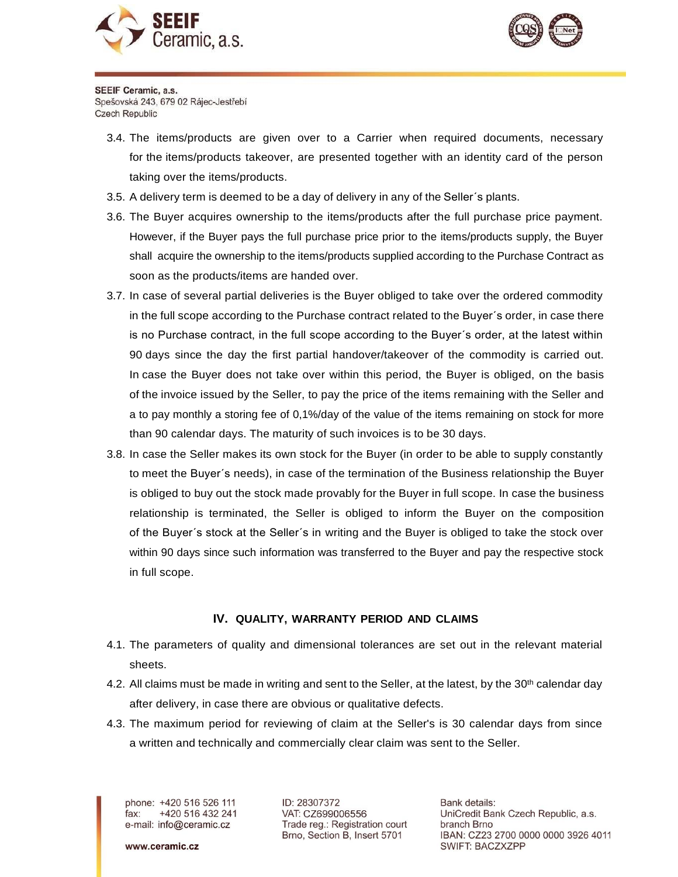



- 3.4. The items/products are given over to a Carrier when required documents, necessary for the items/products takeover, are presented together with an identity card of the person taking over the items/products.
- 3.5. A delivery term is deemed to be a day of delivery in any of the Seller´s plants.
- 3.6. The Buyer acquires ownership to the items/products after the full purchase price payment. However, if the Buyer pays the full purchase price prior to the items/products supply, the Buyer shall acquire the ownership to the items/products supplied according to the Purchase Contract as soon as the products/items are handed over.
- 3.7. In case of several partial deliveries is the Buyer obliged to take over the ordered commodity in the full scope according to the Purchase contract related to the Buyer´s order, in case there is no Purchase contract, in the full scope according to the Buyer´s order, at the latest within 90 days since the day the first partial handover/takeover of the commodity is carried out. In case the Buyer does not take over within this period, the Buyer is obliged, on the basis of the invoice issued by the Seller, to pay the price of the items remaining with the Seller and a to pay monthly a storing fee of 0,1%/day of the value of the items remaining on stock for more than 90 calendar days. The maturity of such invoices is to be 30 days.
- 3.8. In case the Seller makes its own stock for the Buyer (in order to be able to supply constantly to meet the Buyer´s needs), in case of the termination of the Business relationship the Buyer is obliged to buy out the stock made provably for the Buyer in full scope. In case the business relationship is terminated, the Seller is obliged to inform the Buyer on the composition of the Buyer´s stock at the Seller´s in writing and the Buyer is obliged to take the stock over within 90 days since such information was transferred to the Buyer and pay the respective stock in full scope.

#### **IV. QUALITY, WARRANTY PERIOD AND CLAIMS**

- 4.1. The parameters of quality and dimensional tolerances are set out in the relevant material sheets.
- 4.2. All claims must be made in writing and sent to the Seller, at the latest, by the 30<sup>th</sup> calendar day after delivery, in case there are obvious or qualitative defects.
- 4.3. The maximum period for reviewing of claim at the Seller's is 30 calendar days from since a written and technically and commercially clear claim was sent to the Seller.

phone: +420 516 526 111 +420 516 432 241  $fax$ : e-mail: info@ceramic.cz

ID: 28307372 VAT: CZ699006556 Trade reg.: Registration court Brno, Section B, Insert 5701

Bank details: UniCredit Bank Czech Republic, a.s. branch Brno IBAN: CZ23 2700 0000 0000 3926 4011 **SWIFT: BACZXZPP**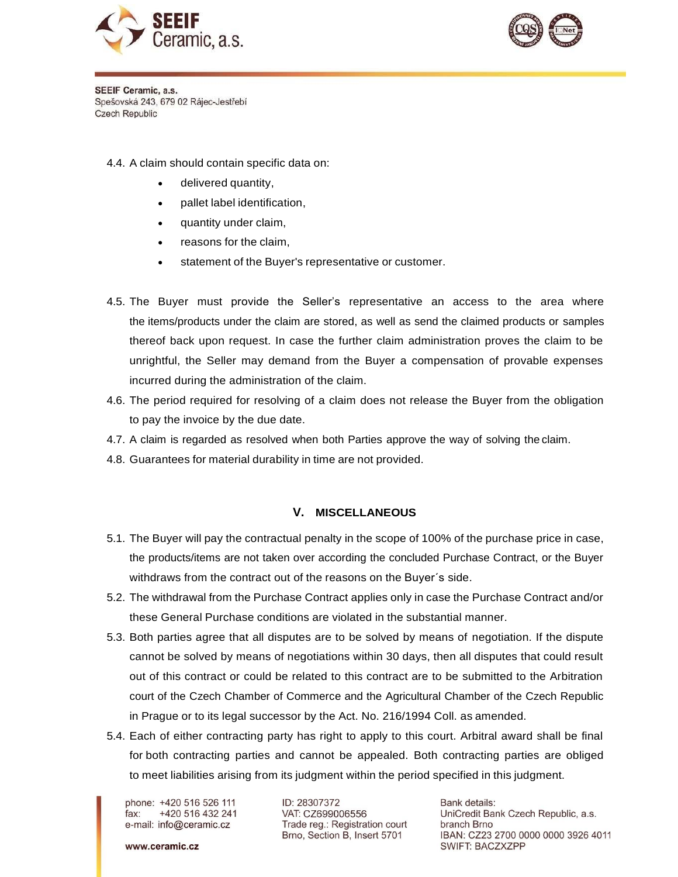



- 4.4. A claim should contain specific data on:
	- delivered quantity,
	- pallet label identification,
	- quantity under claim,
	- reasons for the claim,
	- **statement of the Buyer's representative or customer.**
- 4.5. The Buyer must provide the Seller's representative an access to the area where the items/products under the claim are stored, as well as send the claimed products or samples thereof back upon request. In case the further claim administration proves the claim to be unrightful, the Seller may demand from the Buyer a compensation of provable expenses incurred during the administration of the claim.
- 4.6. The period required for resolving of a claim does not release the Buyer from the obligation to pay the invoice by the due date.
- 4.7. A claim is regarded as resolved when both Parties approve the way of solving the claim.
- 4.8. Guarantees for material durability in time are not provided.

#### **V. MISCELLANEOUS**

- 5.1. The Buyer will pay the contractual penalty in the scope of 100% of the purchase price in case, the products/items are not taken over according the concluded Purchase Contract, or the Buyer withdraws from the contract out of the reasons on the Buyer´s side.
- 5.2. The withdrawal from the Purchase Contract applies only in case the Purchase Contract and/or these General Purchase conditions are violated in the substantial manner.
- 5.3. Both parties agree that all disputes are to be solved by means of negotiation. If the dispute cannot be solved by means of negotiations within 30 days, then all disputes that could result out of this contract or could be related to this contract are to be submitted to the Arbitration court of the Czech Chamber of Commerce and the Agricultural Chamber of the Czech Republic in Prague or to its legal successor by the Act. No. 216/1994 Coll. as amended.
- 5.4. Each of either contracting party has right to apply to this court. Arbitral award shall be final for both contracting parties and cannot be appealed. Both contracting parties are obliged to meet liabilities arising from its judgment within the period specified in this judgment.

phone: +420 516 526 111 +420 516 432 241  $fax:$ e-mail: info@ceramic.cz

ID: 28307372 VAT: CZ699006556 Trade reg.: Registration court Brno, Section B, Insert 5701

Bank details: UniCredit Bank Czech Republic, a.s. branch Brno IBAN: CZ23 2700 0000 0000 3926 4011 **SWIFT: BACZXZPP**